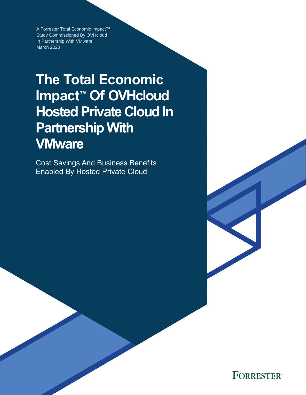A Forrester Total Economic Impact™ Study Commissioned By OVHcloud In Partnership With VMware March 2020

# **The Total Economic Impact™ Of OVHcloud Hosted Private Cloud In Partnership With VMware**

Cost Savings And Business Benefits Enabled By Hosted Private Cloud

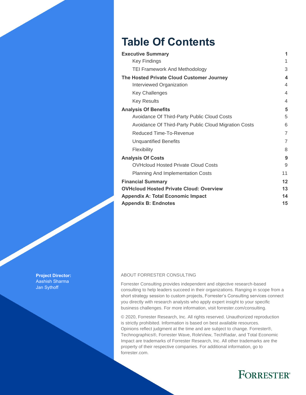## **Table Of Contents**

| <b>Executive Summary</b>                              | 1              |
|-------------------------------------------------------|----------------|
| <b>Key Findings</b>                                   | 1              |
| <b>TEI Framework And Methodology</b>                  | 3              |
| The Hosted Private Cloud Customer Journey             | 4              |
| Interviewed Organization                              | 4              |
| <b>Key Challenges</b>                                 | 4              |
| <b>Key Results</b>                                    | 4              |
| <b>Analysis Of Benefits</b>                           | 5              |
| Avoidance Of Third-Party Public Cloud Costs           | 5              |
| Avoidance Of Third-Party Public Cloud Migration Costs | 6              |
| Reduced Time-To-Revenue                               | $\overline{7}$ |
| <b>Unquantified Benefits</b>                          | 7              |
| Flexibility                                           | 8              |
| <b>Analysis Of Costs</b>                              | 9              |
| <b>OVHcloud Hosted Private Cloud Costs</b>            | 9              |
| <b>Planning And Implementation Costs</b>              | 11             |
| <b>Financial Summary</b>                              | 12             |
| <b>OVHcloud Hosted Private Cloud: Overview</b>        | 13             |
| <b>Appendix A: Total Economic Impact</b>              | 14             |
| <b>Appendix B: Endnotes</b>                           | 15             |

#### **Project Director:** Aashish Sharma Jan Sythoff

#### ABOUT FORRESTER CONSULTING

Forrester Consulting provides independent and objective research-based consulting to help leaders succeed in their organizations. Ranging in scope from a short strategy session to custom projects, Forrester's Consulting services connect you directly with research analysts who apply expert insight to your specific business challenges. For more information, visit forrester.com/consulting.

© 2020, Forrester Research, Inc. All rights reserved. Unauthorized reproduction is strictly prohibited. Information is based on best available resources. Opinions reflect judgment at the time and are subject to change. Forrester®, Technographics®, Forrester Wave, RoleView, TechRadar, and Total Economic Impact are trademarks of Forrester Research, Inc. All other trademarks are the property of their respective companies. For additional information, go to forrester.com.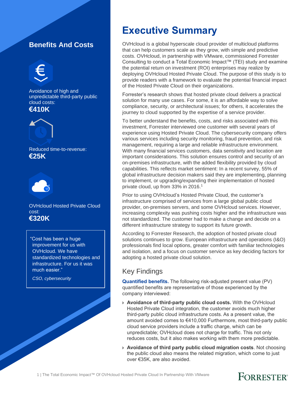### **Benefits And Costs**



Avoidance of high and unpredictable third-party public cloud costs: **€410K**



Reduced time-to-revenue: **€25K**



OVHcloud Hosted Private Cloud cost: **€320K**

"Cost has been a huge improvement for us with OVHcloud. We have standardized technologies and infrastructure. For us it was much easier."

*CSO, cybersecurity*

### **Executive Summary**

OVHcloud is a global hyperscale cloud provider of multicloud platforms that can help customers scale as they grow, with simple and predictive costs. OVHcloud, in partnership with VMware, commissioned Forrester Consulting to conduct a Total Economic Impact™ (TEI) study and examine the potential return on investment (ROI) enterprises may realize by deploying OVHcloud Hosted Private Cloud. The purpose of this study is to provide readers with a framework to evaluate the potential financial impact of the Hosted Private Cloud on their organizations.

Forrester's research shows that hosted private cloud delivers a practical solution for many use cases. For some, it is an affordable way to solve compliance, security, or architectural issues; for others, it accelerates the journey to cloud supported by the expertise of a service provider.

To better understand the benefits, costs, and risks associated with this investment, Forrester interviewed one customer with several years of experience using Hosted Private Cloud. The cybersecurity company offers various services including security monitoring, fraud prevention, and risk management, requiring a large and reliable infrastructure environment. With many financial services customers, data sensitivity and location are important considerations. This solution ensures control and security of an on-premises infrastructure, with the added flexibility provided by cloud capabilities. This reflects market sentiment: In a recent survey, 55% of global infrastructure decision makers said they are implementing, planning to implement, or upgrading/expanding their implementation of hosted private cloud, up from 33% in 2016.<sup>1</sup>

Prior to using OVHcloud's Hosted Private Cloud, the customer's infrastructure comprised of services from a large global public cloud provider, on-premises servers, and some OVHcloud services. However, increasing complexity was pushing costs higher and the infrastructure was not standardized. The customer had to make a change and decide on a different infrastructure strategy to support its future growth.

According to Forrester Research, the adoption of hosted private cloud solutions continues to grow. European infrastructure and operations (I&O) professionals find local options, greater comfort with familiar technologies and isolation, and a focus on customer service as key deciding factors for adopting a hosted private cloud solution.

#### Key Findings

**Quantified benefits.** The following risk-adjusted present value (PV) quantified benefits are representative of those experienced by the company interviewed:

- › **Avoidance of third-party public cloud costs.** With the OVHcloud Hosted Private Cloud integration, the customer avoids much higher third-party public cloud infrastructure costs. As a present value, the amount avoided comes to €410,000 Furthermore, most third-party public cloud service providers include a traffic charge, which can be unpredictable; OVHcloud does not charge for traffic. This not only reduces costs, but it also makes working with them more predictable.
- › **Avoidance of third party public cloud migration costs**. Not choosing the public cloud also means the related migration, which come to just over €35K, are also avoided.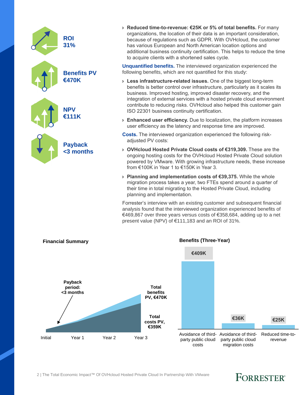

› **Reduced time-to-revenue: €25K or 5% of total benefits.** For many organizations, the location of their data is an important consideration, because of regulations such as GDPR. With OVHcloud, the customer has various European and North American location options and additional business continuity certification. This helps to reduce the time to acquire clients with a shortened sales cycle.

**Unquantified benefits.** The interviewed organization experienced the following benefits, which are not quantified for this study:

- › **Less infrastructure-related issues.** One of the biggest long-term benefits is better control over infrastructure, particularly as it scales its business. Improved hosting, improved disaster recovery, and the integration of external services with a hosted private cloud environment contribute to reducing risks. OVHcloud also helped this customer gain ISO 22301 business continuity certification.
- › **Enhanced user efficiency.** Due to localization, the platform increases user efficiency as the latency and response time are improved.
- **Costs.** The interviewed organization experienced the following riskadjusted PV costs:
- › **OVHcloud Hosted Private Cloud costs of €319,309.** These are the ongoing hosting costs for the OVHcloud Hosted Private Cloud solution powered by VMware. With growing infrastructure needs, these increase from €100K in Year 1 to €150K in Year 3.
- › **Planning and implementation costs of €39,375.** While the whole migration process takes a year, two FTEs spend around a quarter of their time in total migrating to the Hosted Private Cloud, including planning and implementation.

Forrester's interview with an existing customer and subsequent financial analysis found that the interviewed organization experienced benefits of €469,867 over three years versus costs of €358,684, adding up to a net present value (NPV) of €111,183 and an ROI of 31%.

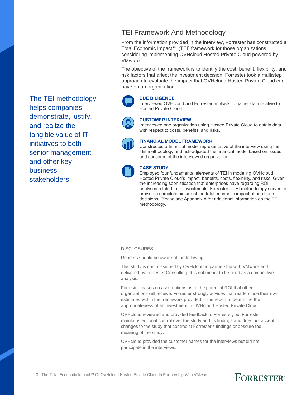#### TEI Framework And Methodology

From the information provided in the interview, Forrester has constructed a Total Economic Impact™ (TEI) framework for those organizations considering implementing OVHcloud Hosted Private Cloud powered by VMware.

The objective of the framework is to identify the cost, benefit, flexibility, and risk factors that affect the investment decision. Forrester took a multistep approach to evaluate the impact that OVHcloud Hosted Private Cloud can have on an organization:

#### **DUE DILIGENCE**

Interviewed OVHcloud and Forrester analysts to gather data relative to Hosted Private Cloud.

#### **CUSTOMER INTERVIEW**

Interviewed one organization using Hosted Private Cloud to obtain data with respect to costs, benefits, and risks.



#### **FINANCIAL MODEL FRAMEWORK**

Constructed a financial model representative of the interview using the TEI methodology and risk-adjusted the financial model based on issues and concerns of the interviewed organization.



#### **CASE STUDY**

Employed four fundamental elements of TEI in modeling OVHcloud Hosted Private Cloud's impact: benefits, costs, flexibility, and risks. Given the increasing sophistication that enterprises have regarding ROI analyses related to IT investments, Forrester's TEI methodology serves to provide a complete picture of the total economic impact of purchase decisions. Please see Appendix A for additional information on the TEI methodology.

#### **DISCLOSURES**

Readers should be aware of the following:

This study is commissioned by OVHcloud in partnership with VMware and delivered by Forrester Consulting. It is not meant to be used as a competitive analysis.

Forrester makes no assumptions as to the potential ROI that other organizations will receive. Forrester strongly advises that readers use their own estimates within the framework provided in the report to determine the appropriateness of an investment in OVHcloud Hosted Private Cloud.

OVHcloud reviewed and provided feedback to Forrester, but Forrester maintains editorial control over the study and its findings and does not accept changes to the study that contradict Forrester's findings or obscure the meaning of the study.

OVHcloud provided the customer names for the interviews but did not participate in the interviews.

The TEI methodology helps companies demonstrate, justify, and realize the tangible value of IT initiatives to both senior management and other key business stakeholders.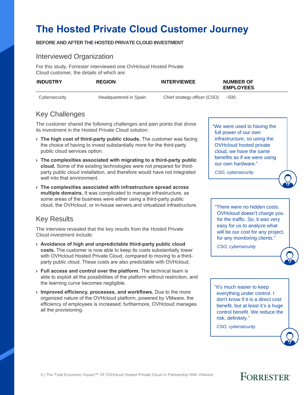## **The Hosted Private Cloud Customer Journey**

#### **BEFORE AND AFTER THE HOSTED PRIVATE CLOUD INVESTMENT**

#### Interviewed Organization

For this study, Forrester interviewed one OVHcloud Hosted Private Cloud customer, the details of which are:

| <b>INDUSTRY</b> | <b>REGION</b>          | <b>INTERVIEWEE</b>           | <b>NUMBER OF</b><br><b>EMPLOYEES</b> |
|-----------------|------------------------|------------------------------|--------------------------------------|
| Cybersecurity   | Headquartered in Spain | Chief strategy officer (CSO) | ~100                                 |

#### Key Challenges

The customer shared the following challenges and pain points that drove its investment in the Hosted Private Cloud solution:

- › **The high cost of third-party public clouds.** The customer was facing the choice of having to invest substantially more for the third-party public cloud services option.
- › **The complexities associated with migrating to a third-party public cloud.** Some of the existing technologies were not prepared for thirdparty public cloud installation, and therefore would have not integrated well into that environment.
- › **The complexities associated with infrastructure spread across multiple domains.** It was complicated to manage infrastructure, as some areas of the business were either using a third-party public cloud, the OVHcloud, or in-house servers and virtualized infrastructure.

#### Key Results

The interview revealed that the key results from the Hosted Private Cloud investment include:

- › **Avoidance of high and unpredictable third-party public cloud costs.** The customer is now able to keep its costs substantially lower with OVHcloud Hosted Private Cloud, compared to moving to a thirdparty public cloud. These costs are also predictable with OVHcloud.
- › **Full access and control over the platform.** The technical team is able to exploit all the possibilities of the platform without restriction, and the learning curve becomes negligible.
- › **Improved efficiency, processes, and workflows.** Due to the more organized nature of the OVHcloud platform, powered by VMware, the efficiency of employees is increased; furthermore, OVHcloud manages all the provisioning.

"We were used to having the full power of our own infrastructure, so using the OVHcloud hosted private cloud, we have the same benefits as if we were using our own hardware."

*CSO, cybersecurity*

"There were no hidden costs. OVHcloud doesn't charge you for the traffic. So, it was very easy for us to analyze what will be our cost for any project, for any monitoring clients."

*CSO, cybersecurity*

"It's much easier to keep everything under control. I don't know if it is a direct cost benefit, but at least it's a huge control benefit. We reduce the risk, definitely."

*CSO, cybersecurity*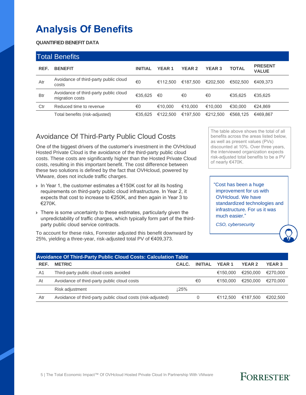## **Analysis Of Benefits**

#### **QUANTIFIED BENEFIT DATA**

|            | <b>Total Benefits</b>                                    |                |              |               |               |              |                                |
|------------|----------------------------------------------------------|----------------|--------------|---------------|---------------|--------------|--------------------------------|
| REF.       | <b>BENEFIT</b>                                           | <b>INITIAL</b> | <b>YEAR1</b> | <b>YEAR 2</b> | <b>YEAR 3</b> | <b>TOTAL</b> | <b>PRESENT</b><br><b>VALUE</b> |
| Atr        | Avoidance of third-party public cloud<br>costs           | €0             | €112.500     | €187.500      | €202.500      | €502.500     | €409.373                       |
| <b>Btr</b> | Avoidance of third-party public cloud<br>migration costs | €35.625        | €0           | €0            | €0            | €35.625      | €35.625                        |
| Ctr        | Reduced time to revenue                                  | €0             | €10.000      | €10.000       | €10.000       | €30.000      | €24,869                        |
|            | Total benefits (risk-adjusted)                           | €35.625        | €122.500     | €197.500      | €212,500      | €568.125     | €469.867                       |

### Avoidance Of Third-Party Public Cloud Costs

One of the biggest drivers of the customer's investment in the OVHcloud Hosted Private Cloud is the avoidance of the third-party public cloud costs. These costs are significantly higher than the Hosted Private Cloud costs, resulting in this important benefit. The cost difference between these two solutions is defined by the fact that OVHcloud, powered by VMware, does not include traffic charges.

- $\triangleright$  In Year 1, the customer estimates a €150K cost for all its hosting requirements on third-party public cloud infrastructure. In Year 2, it expects that cost to increase to €250K, and then again in Year 3 to €270K.
- If There is some uncertainty to these estimates, particularly given the unpredictability of traffic charges, which typically form part of the thirdparty public cloud service contracts.

To account for these risks, Forrester adjusted this benefit downward by 25%, yielding a three-year, risk-adjusted total PV of €409,373.

The table above shows the total of all benefits across the areas listed below, as well as present values (PVs) discounted at 10%. Over three years, the interviewed organization expects risk-adjusted total benefits to be a PV of nearly €470K.

"Cost has been a huge improvement for us with OVHcloud. We have standardized technologies and infrastructure. For us it was much easier."

*CSO, cybersecurity*

| <b>Avoidance Of Third-Party Public Cloud Costs: Calculation Table</b> |                                                             |             |         |               |               |               |  |  |
|-----------------------------------------------------------------------|-------------------------------------------------------------|-------------|---------|---------------|---------------|---------------|--|--|
| REF.                                                                  | <b>METRIC</b>                                               | CALC.       | INITIAL | <b>YEAR 1</b> | <b>YEAR 2</b> | <b>YEAR 3</b> |  |  |
| A <sub>1</sub>                                                        | Third-party public cloud costs avoided                      |             |         | €150.000      | €250.000      | €270.000      |  |  |
| At                                                                    | Avoidance of third-party public cloud costs                 |             | €0      | €150.000      | €250.000      | €270.000      |  |  |
|                                                                       | Risk adjustment                                             | <b>125%</b> |         |               |               |               |  |  |
| Atr                                                                   | Avoidance of third-party public cloud costs (risk-adjusted) |             | 0       | €112.500      | €187.500      | €202.500      |  |  |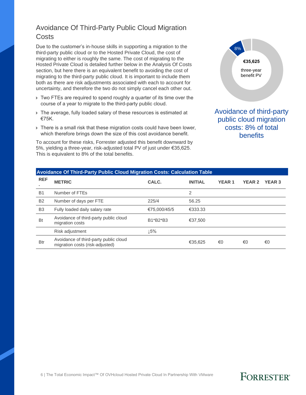### Avoidance Of Third-Party Public Cloud Migration **Costs**

Due to the customer's in-house skills in supporting a migration to the third-party public cloud or to the Hosted Private Cloud, the cost of migrating to either is roughly the same. The cost of migrating to the Hosted Private Cloud is detailed further below in the Analysis Of Costs section, but here there is an equivalent benefit to avoiding the cost of migrating to the third-party public cloud. It is important to include them both as there are risk adjustments associated with each to account for uncertainty, and therefore the two do not simply cancel each other out.

- › Two FTEs are required to spend roughly a quarter of its time over the course of a year to migrate to the third-party public cloud.
- › The average, fully loaded salary of these resources is estimated at €75K.
- › There is a small risk that these migration costs could have been lower, which therefore brings down the size of this cost avoidance benefit.

To account for these risks, Forrester adjusted this benefit downward by 5%, yielding a three-year, risk-adjusted total PV of just under €35,625. This is equivalent to 8% of the total benefits.



Avoidance of third-party public cloud migration costs: 8% of total **benefits** 

|                | <b>Avoidance Of Third-Party Public Cloud Migration Costs: Calculation Table</b> |              |                |              |               |               |  |  |
|----------------|---------------------------------------------------------------------------------|--------------|----------------|--------------|---------------|---------------|--|--|
| <b>REF</b>     | <b>METRIC</b>                                                                   | CALC.        | <b>INITIAL</b> | <b>YEAR1</b> | <b>YEAR 2</b> | <b>YEAR 3</b> |  |  |
| B <sub>1</sub> | Number of FTEs                                                                  |              | 2              |              |               |               |  |  |
| <b>B2</b>      | Number of days per FTE                                                          | 225/4        | 56.25          |              |               |               |  |  |
| B <sub>3</sub> | Fully loaded daily salary rate                                                  | €75.000/45/5 | €333.33        |              |               |               |  |  |
| <b>Bt</b>      | Avoidance of third-party public cloud<br>migration costs                        | B1*B2*B3     | €37.500        |              |               |               |  |  |
|                | Risk adjustment                                                                 | 15%          |                |              |               |               |  |  |
| <b>Btr</b>     | Avoidance of third-party public cloud<br>migration costs (risk-adjusted)        |              | €35.625        | €0           | €0            | €0            |  |  |

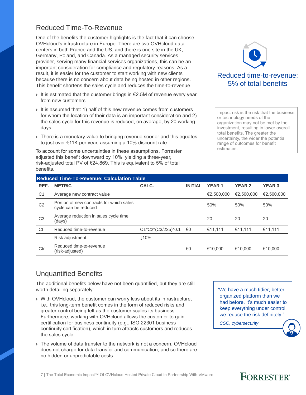#### Reduced Time-To-Revenue

One of the benefits the customer highlights is the fact that it can choose OVHcloud's infrastructure in Europe. There are two OVHcloud data centers in both France and the US, and there is one site in the UK, Germany, Poland, and Canada. As a managed security services provider, serving many financial services organizations, this can be an important consideration for compliance and regulatory reasons. As a result, it is easier for the customer to start working with new clients because there is no concern about data being hosted in other regions. This benefit shortens the sales cycle and reduces the time-to-revenue.

- › It is estimated that the customer brings in €2.5M of revenue every year from new customers.
- It is assumed that: 1) half of this new revenue comes from customers for whom the location of their data is an important consideration and 2) the sales cycle for this revenue is reduced, on average, by 20 working days.
- If There is a monetary value to bringing revenue sooner and this equates to just over €11K per year, assuming a 10% discount rate.

To account for some uncertainties in these assumptions, Forrester adjusted this benefit downward by 10%, yielding a three-year, risk-adjusted total PV of €24,869. This is equivalent to 5% of total benefits.



Impact risk is the risk that the business or technology needs of the organization may not be met by the investment, resulting in lower overall total benefits. The greater the uncertainty, the wider the potential range of outcomes for benefit estimates.

| <b>Reduced Time-To-Revenue: Calculation Table</b> |                                                                  |                      |                |              |               |               |  |  |  |
|---------------------------------------------------|------------------------------------------------------------------|----------------------|----------------|--------------|---------------|---------------|--|--|--|
| REF.                                              | <b>METRIC</b>                                                    | CALC.                | <b>INITIAL</b> | <b>YEAR1</b> | <b>YEAR 2</b> | <b>YEAR 3</b> |  |  |  |
| C <sub>1</sub>                                    | Average new contract value                                       |                      |                | €2.500.000   | €2.500.000    | €2,500,000    |  |  |  |
| C <sub>2</sub>                                    | Portion of new contracts for which sales<br>cycle can be reduced |                      |                | 50%          | 50%           | 50%           |  |  |  |
| C <sub>3</sub>                                    | Average reduction in sales cycle time<br>(days)                  |                      |                | 20           | 20            | 20            |  |  |  |
| Ct                                                | Reduced time-to-revenue                                          | $C1*C2*(C3/225)*0.1$ | €0             | €11.111      | €11.111       | €11.111       |  |  |  |
|                                                   | Risk adjustment                                                  | ⊥10%                 |                |              |               |               |  |  |  |
| Ctr                                               | Reduced time-to-revenue<br>(risk-adjusted)                       |                      | €0             | €10.000      | €10.000       | €10.000       |  |  |  |

### Unquantified Benefits

The additional benefits below have not been quantified, but they are still worth detailing separately:

- › With OVHcloud, the customer can worry less about its infrastructure, i.e., this long-term benefit comes in the form of reduced risks and greater control being felt as the customer scales its business. Furthermore, working with OVHcloud allows the customer to gain certification for business continuity (e.g., ISO 22301 business continuity certification), which in turn attracts customers and reduces the sales cycle.
- › The volume of data transfer to the network is not a concern, OVHcloud does not charge for data transfer and communication, and so there are no hidden or unpredictable costs.

"We have a much tidier, better organized platform than we had before. It's much easier to keep everything under control, we reduce the risk definitely."

*CSO, cybersecurity*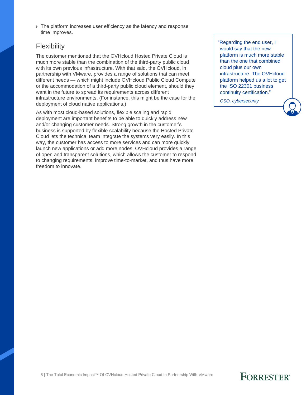› The platform increases user efficiency as the latency and response time improves.

#### **Flexibility**

The customer mentioned that the OVHcloud Hosted Private Cloud is much more stable than the combination of the third-party public cloud with its own previous infrastructure. With that said, the OVHcloud, in partnership with VMware, provides a range of solutions that can meet different needs — which might include OVHcloud Public Cloud Compute or the accommodation of a third-party public cloud element, should they want in the future to spread its requirements across different infrastructure environments. (For instance, this might be the case for the deployment of cloud native applications.)

As with most cloud-based solutions, flexible scaling and rapid deployment are important benefits to be able to quickly address new and/or changing customer needs. Strong growth in the customer's business is supported by flexible scalability because the Hosted Private Cloud lets the technical team integrate the systems very easily. In this way, the customer has access to more services and can more quickly launch new applications or add more nodes. OVHcloud provides a range of open and transparent solutions, which allows the customer to respond to changing requirements, improve time-to-market, and thus have more freedom to innovate.

"Regarding the end user, I would say that the new platform is much more stable than the one that combined cloud plus our own infrastructure. The OVHcloud platform helped us a lot to get the ISO 22301 business continuity certification."

*CSO, cybersecurity*

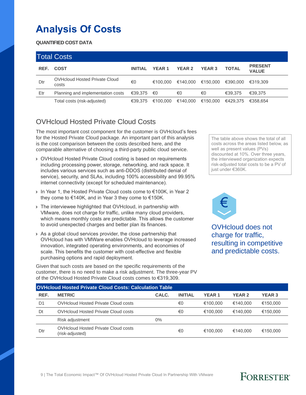## **Analysis Of Costs**

#### **QUANTIFIED COST DATA**

|      | <b>Total Costs</b>                            |                |               |               |               |              |                                |
|------|-----------------------------------------------|----------------|---------------|---------------|---------------|--------------|--------------------------------|
| REF. | <b>COST</b>                                   | <b>INITIAL</b> | <b>YEAR 1</b> | <b>YEAR 2</b> | <b>YEAR 3</b> | <b>TOTAL</b> | <b>PRESENT</b><br><b>VALUE</b> |
| Dtr  | <b>OVHcloud Hosted Private Cloud</b><br>costs | €0             | €100.000      | €140.000      | €150.000      | €390.000     | €319.309                       |
| Etr  | Planning and implementation costs             | €39.375 $€0$   |               | €0            | €0            | €39.375      | €39.375                        |
|      | Total costs (risk-adjusted)                   | €39.375        | €100.000      | €140.000      | €150.000      | €429.375     | €358.654                       |

### OVHcloud Hosted Private Cloud Costs

The most important cost component for the customer is OVHcloud's fees for the Hosted Private Cloud package. An important part of this analysis is the cost comparison between the costs described here, and the comparable alternative of choosing a third-party public cloud service.

- › OVHcloud Hosted Private Cloud costing is based on requirements including processing power, storage, networking, and rack space. It includes various services such as anti-DDOS (distributed denial of service), security, and SLAs, including 100% accessibility and 99.95% internet connectivity (except for scheduled maintenance).
- › In Year 1, the Hosted Private Cloud costs come to €100K, in Year 2 they come to €140K, and in Year 3 they come to €150K.
- › The interviewee highlighted that OVHcloud, in partnership with VMware, does not charge for traffic, unlike many cloud providers, which means monthly costs are predictable. This allows the customer to avoid unexpected charges and better plan its finances.
- › As a global cloud services provider, the close partnership that OVHcloud has with VMWare enables OVHcloud to leverage increased innovation, integrated operating environments, and economies of scale. This benefits the customer with cost-effective and flexible purchasing options and rapid deployment.

Given that such costs are based on the specific requirements of the customer, there is no need to make a risk adjustment. The three-year PV of the OVHcloud Hosted Private Cloud costs comes to €319,309.

The table above shows the total of all costs across the areas listed below, as well as present values (PVs) discounted at 10%. Over three years, the interviewed organization expects risk-adjusted total costs to be a PV of just under €360K.



OVHcloud does not charge for traffic, resulting in competitive and predictable costs.

|                | <b>OVHcloud Hosted Private Cloud Costs: Calculation Table</b> |       |                |              |               |               |  |  |  |  |
|----------------|---------------------------------------------------------------|-------|----------------|--------------|---------------|---------------|--|--|--|--|
| REF.           | <b>METRIC</b>                                                 | CALC. | <b>INITIAL</b> | <b>YEAR1</b> | <b>YEAR 2</b> | <b>YEAR 3</b> |  |  |  |  |
| D <sub>1</sub> | OVHcloud Hosted Private Cloud costs                           |       | €0             | €100.000     | €140.000      | €150.000      |  |  |  |  |
| Dt             | OVHcloud Hosted Private Cloud costs                           |       | €0             | €100.000     | €140.000      | €150.000      |  |  |  |  |
|                | Risk adjustment                                               | 0%    |                |              |               |               |  |  |  |  |
| Dtr            | OVHcloud Hosted Private Cloud costs<br>(risk-adjusted)        |       | €0             | €100.000     | €140.000      | €150.000      |  |  |  |  |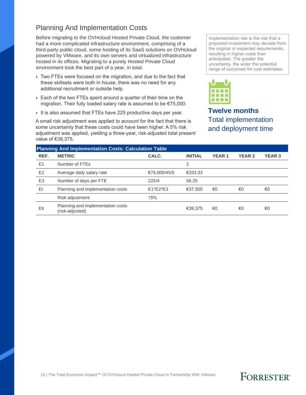#### Planning And Implementation Costs

Before migrating to the OVHcloud Hosted Private Cloud, the customer had a more complicated infrastructure environment, comprising of a third-party public cloud, some hosting of its SaaS solutions on OVHcloud powered by VMware, and its own servers and virtualized infrastructure hosted in its offices. Migrating to a purely Hosted Private Cloud environment took the best part of a year, in total.

- › Two FTEs were focused on the migration, and due to the fact that these skillsets were both in house, there was no need for any additional recruitment or outside help.
- › Each of the two FTEs spent around a quarter of their time on the migration. Their fully loaded salary rate is assumed to be €75,000.
- › It is also assumed that FTEs have 225 productive days per year.

A small risk adjustment was applied to account for the fact that there is some uncertainty that these costs could have been higher. A 5% risk adjustment was applied, yielding a three-year, risk-adjusted total present value of €39,375.

Implementation risk is the risk that a proposed investment may deviate from the original or expected requirements, resulting in higher costs than anticipated. The greater the uncertainty, the wider the potential range of outcomes for cost estimates.



**Twelve months** Total implementation and deployment time

| <b>Planning And Implementation Costs: Calculation Table</b> |                                                      |              |                |              |               |               |  |  |  |
|-------------------------------------------------------------|------------------------------------------------------|--------------|----------------|--------------|---------------|---------------|--|--|--|
| REF.                                                        | <b>METRIC</b>                                        | CALC.        | <b>INITIAL</b> | <b>YEAR1</b> | <b>YEAR 2</b> | <b>YEAR 3</b> |  |  |  |
| E1                                                          | Number of FTEs                                       |              | 2              |              |               |               |  |  |  |
| E2                                                          | Average daily salary rate                            | €75,000/45/5 | €333.33        |              |               |               |  |  |  |
| E <sub>3</sub>                                              | Number of days per FTE                               | 225/4        | 56.25          |              |               |               |  |  |  |
| Et                                                          | Planning and implementation costs                    | $E1*E2*E3$   | €37.500        | €0           | €0            | €0            |  |  |  |
|                                                             | Risk adjustment                                      | 15%          |                |              |               |               |  |  |  |
| Etr                                                         | Planning and implementation costs<br>(risk-adjusted) |              | €39.375        | €0           | €0            | €0            |  |  |  |

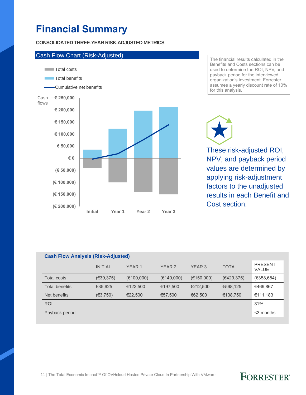## **Financial Summary**

**(€ 200,000)**

#### **CONSOLIDATED THREE-YEAR RISK-ADJUSTED METRICS**



The financial results calculated in the Benefits and Costs sections can be used to determine the ROI, NPV, and payback period for the interviewed organization's investment. Forrester assumes a yearly discount rate of 10% for this analysis.

These risk-adjusted ROI, NPV, and payback period values are determined by applying risk-adjustment factors to the unadjusted results in each Benefit and Cost section.

| <b>Cash Flow Analysis (Risk-Adjusted)</b> |                |                   |                   |                   |              |                         |  |  |
|-------------------------------------------|----------------|-------------------|-------------------|-------------------|--------------|-------------------------|--|--|
|                                           | <b>INITIAL</b> | YFAR <sub>1</sub> | YFAR <sub>2</sub> | YEAR <sub>3</sub> | <b>TOTAL</b> | <b>PRESENT</b><br>VALUE |  |  |
| Total costs                               | (€39,375)      | (€100,000)        | (E140,000)        | (E150,000)        | (€429,375)   | (E358, 684)             |  |  |
| <b>Total benefits</b>                     | €35,625        | €122,500          | €197,500          | €212,500          | €568,125     | €469,867                |  |  |
| Net benefits                              | (€3,750)       | €22,500           | €57.500           | €62,500           | €138,750     | €111,183                |  |  |
| <b>ROI</b>                                |                |                   |                   |                   |              | 31%                     |  |  |
| Payback period                            |                |                   |                   |                   |              | $<$ 3 months            |  |  |

**Initial Year 1 Year 2 Year 3**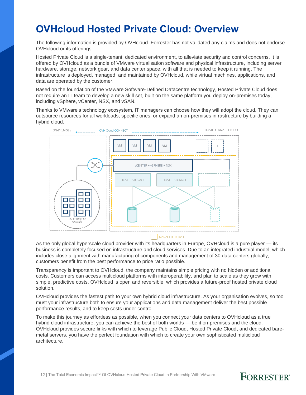## **OVHcloud Hosted Private Cloud: Overview**

The following information is provided by OVHcloud. Forrester has not validated any claims and does not endorse OVHcloud or its offerings.

Hosted Private Cloud is a single-tenant, dedicated environment, to alleviate security and control concerns. It is offered by OVHcloud as a bundle of VMware virtualisation software and physical infrastructure, including server hardware, storage, network gear, and data center space, with all that is needed to keep it running. The infrastructure is deployed, managed, and maintained by OVHcloud, while virtual machines, applications, and data are operated by the customer.

Based on the foundation of the VMware Software-Defined Datacentre technology, Hosted Private Cloud does not require an IT team to develop a new skill set, built on the same platform you deploy on-premises today, including vSphere, vCenter, NSX, and vSAN.

Thanks to VMware's technology ecosystem, IT managers can choose how they will adopt the cloud. They can outsource resources for all workloads, specific ones, or expand an on-premises infrastructure by building a hybrid cloud.



**TH** MANAGED BY OVH

As the only global hyperscale cloud provider with its headquarters in Europe, OVHcloud is a pure player — its business is completely focused on infrastructure and cloud services. Due to an integrated industrial model, which includes close alignment with manufacturing of components and management of 30 data centers globally, customers benefit from the best performance to price ratio possible.

Transparency is important to OVHcloud, the company maintains simple pricing with no hidden or additional costs. Customers can access multicloud platforms with interoperability, and plan to scale as they grow with simple, predictive costs. OVHcloud is open and reversible, which provides a future-proof hosted private cloud solution.

OVHcloud provides the fastest path to your own hybrid cloud infrastructure. As your organisation evolves, so too must your infrastructure both to ensure your applications and data management deliver the best possible performance results, and to keep costs under control.

To make this journey as effortless as possible, when you connect your data centers to OVHcloud as a true hybrid cloud infrastructure, you can achieve the best of both worlds — be it on-premises and the cloud. OVHcloud provides secure links with which to leverage Public Cloud, Hosted Private Cloud, and dedicated baremetal servers, you have the perfect foundation with which to create your own sophisticated multicloud architecture.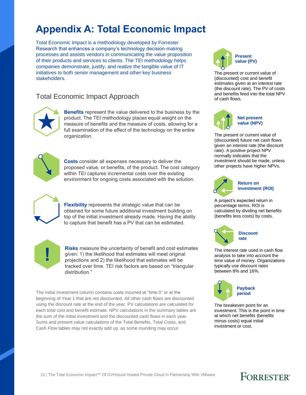## **Appendix A: Total Economic Impact**

Total Economic Impact is a methodology developed by Forrester Research that enhances a company's technology decision-making processes and assists vendors in communicating the value proposition of their products and services to clients. The TEI methodology helps companies demonstrate, justify, and realize the tangible value of IT initiatives to both senior management and other key business stakeholders.

#### Total Economic Impact Approach



**Benefits** represent the value delivered to the business by the product. The TEI methodology places equal weight on the measure of benefits and the measure of costs, allowing for a full examination of the effect of the technology on the entire organization.



**Costs** consider all expenses necessary to deliver the proposed value, or benefits, of the product. The cost category within TEI captures incremental costs over the existing environment for ongoing costs associated with the solution.



**Flexibility** represents the strategic value that can be obtained for some future additional investment building on top of the initial investment already made. Having the ability to capture that benefit has a PV that can be estimated.



**Risks** measure the uncertainty of benefit and cost estimates given: 1) the likelihood that estimates will meet original projections and 2) the likelihood that estimates will be tracked over time. TEI risk factors are based on "triangular distribution."

The initial investment column contains costs incurred at "time 0" or at the beginning of Year 1 that are not discounted. All other cash flows are discounted using the discount rate at the end of the year. PV calculations are calculated for each total cost and benefit estimate. NPV calculations in the summary tables are the sum of the initial investment and the discounted cash flows in each year. Sums and present value calculations of the Total Benefits, Total Costs, and Cash Flow tables may not exactly add up, as some rounding may occur.



The present or current value of (discounted) cost and benefit estimates given at an interest rate (the discount rate). The PV of costs and benefits feed into the total NPV of cash flows.



The present or current value of (discounted) future net cash flows given an interest rate (the discount rate). A positive project NPV



normally indicates that the



**Return on investment (ROI)**

A project's expected return in percentage terms. ROI is calculated by dividing net benefits (benefits less costs) by costs.



The interest rate used in cash flow analysis to take into account the time value of money. Organizations typically use discount rates between 8% and 16%.



The breakeven point for an investment. This is the point in time at which net benefits (benefits minus costs) equal initial investment or cost.